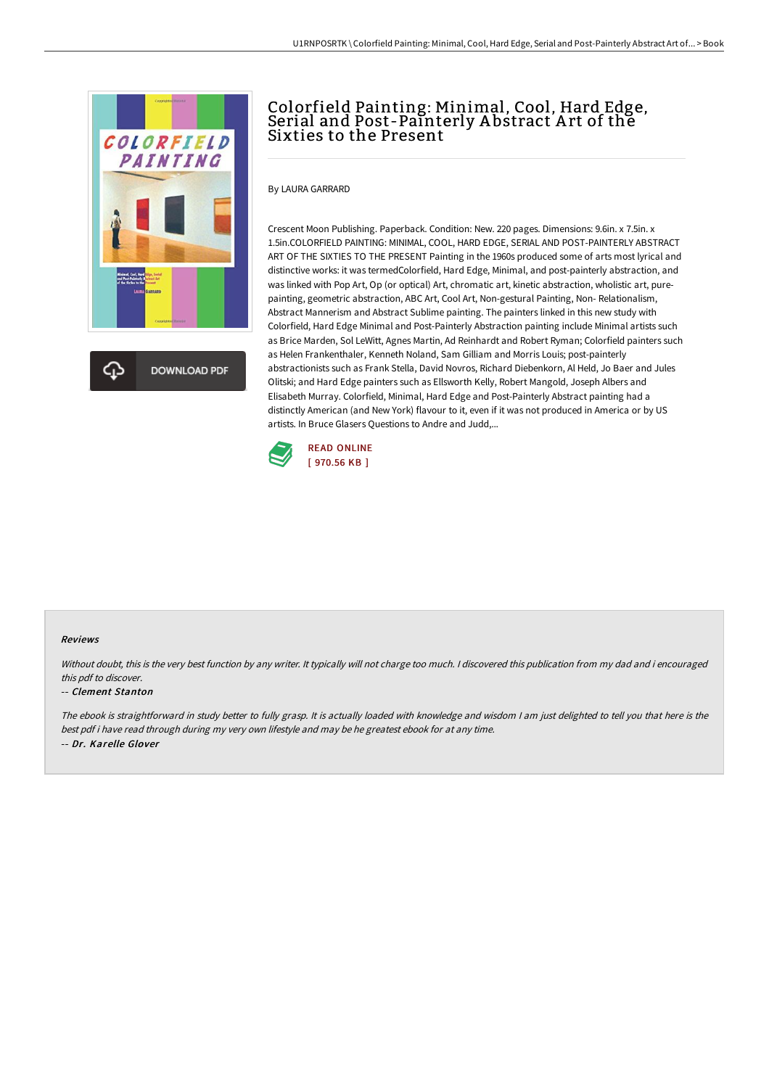



# Colorfield Painting: Minimal, Cool, Hard Edge, Serial and Post-Painterly A bstract A rt of the Sixties to the Present

By LAURA GARRARD

Crescent Moon Publishing. Paperback. Condition: New. 220 pages. Dimensions: 9.6in. x 7.5in. x 1.5in.COLORFIELD PAINTING: MINIMAL, COOL, HARD EDGE, SERIAL AND POST-PAINTERLY ABSTRACT ART OF THE SIXTIES TO THE PRESENT Painting in the 1960s produced some of arts most lyrical and distinctive works: it was termedColorfield, Hard Edge, Minimal, and post-painterly abstraction, and was linked with Pop Art, Op (or optical) Art, chromatic art, kinetic abstraction, wholistic art, purepainting, geometric abstraction, ABC Art, Cool Art, Non-gestural Painting, Non- Relationalism, Abstract Mannerism and Abstract Sublime painting. The painters linked in this new study with Colorfield, Hard Edge Minimal and Post-Painterly Abstraction painting include Minimal artists such as Brice Marden, Sol LeWitt, Agnes Martin, Ad Reinhardt and Robert Ryman; Colorfield painters such as Helen Frankenthaler, Kenneth Noland, Sam Gilliam and Morris Louis; post-painterly abstractionists such as Frank Stella, David Novros, Richard Diebenkorn, Al Held, Jo Baer and Jules Olitski; and Hard Edge painters such as Ellsworth Kelly, Robert Mangold, Joseph Albers and Elisabeth Murray. Colorfield, Minimal, Hard Edge and Post-Painterly Abstract painting had a distinctly American (and New York) flavour to it, even if it was not produced in America or by US artists. In Bruce Glasers Questions to Andre and Judd,...



### Reviews

Without doubt, this is the very best function by any writer. It typically will not charge too much. I discovered this publication from my dad and i encouraged this pdf to discover.

#### -- Clement Stanton

The ebook is straightforward in study better to fully grasp. It is actually loaded with knowledge and wisdom <sup>I</sup> am just delighted to tell you that here is the best pdf i have read through during my very own lifestyle and may be he greatest ebook for at any time. -- Dr. Karelle Glover